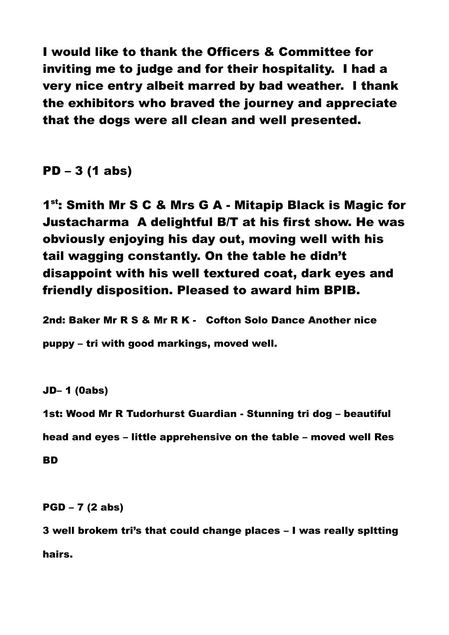I would like to thank the Officers & Committee for inviting me to judge and for their hospitality. I had a very nice entry albeit marred by bad weather. I thank the exhibitors who braved the journey and appreciate that the dogs were all clean and well presented.

PD – 3 (1 abs)

1<sup>st</sup>: Smith Mr S C & Mrs G A - Mitapip Black is Magic for Justacharma A delightful B/T at his first show. He was obviously enjoying his day out, moving well with his tail wagging constantly. On the table he didn't disappoint with his well textured coat, dark eyes and friendly disposition. Pleased to award him BPIB.

2nd: Baker Mr R S & Mr R K - Cofton Solo Dance Another nice

puppy – tri with good markings, moved well.

JD– 1 (0abs)

1st: Wood Mr R Tudorhurst Guardian - Stunning tri dog – beautiful

head and eyes – little apprehensive on the table – moved well Res

BD

PGD – 7 (2 abs)

3 well brokem tri's that could change places – I was really spltting hairs.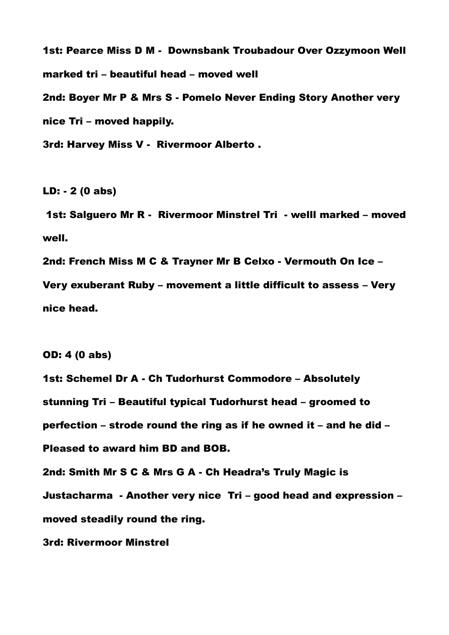1st: Pearce Miss D M - Downsbank Troubadour Over Ozzymoon Well marked tri – beautiful head – moved well

2nd: Boyer Mr P & Mrs S - Pomelo Never Ending Story Another very nice Tri – moved happily.

3rd: Harvey Miss V - Rivermoor Alberto .

LD: - 2 (0 abs)

1st: Salguero Mr R - Rivermoor Minstrel Tri - welll marked – moved well.

2nd: French Miss M C & Trayner Mr B Celxo - Vermouth On Ice – Very exuberant Ruby – movement a little difficult to assess – Very nice head.

OD: 4 (0 abs)

1st: Schemel Dr A - Ch Tudorhurst Commodore – Absolutely stunning Tri – Beautiful typical Tudorhurst head – groomed to perfection – strode round the ring as if he owned it – and he did – Pleased to award him BD and BOB.

2nd: Smith Mr S C & Mrs G A - Ch Headra's Truly Magic is Justacharma - Another very nice Tri – good head and expression – moved steadily round the ring.

3rd: Rivermoor Minstrel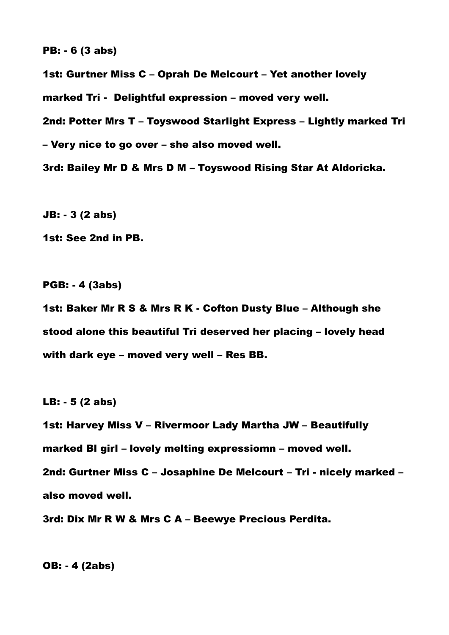## PB: - 6 (3 abs)

1st: Gurtner Miss C – Oprah De Melcourt – Yet another lovely marked Tri - Delightful expression – moved very well. 2nd: Potter Mrs T – Toyswood Starlight Express – Lightly marked Tri – Very nice to go over – she also moved well. 3rd: Bailey Mr D & Mrs D M – Toyswood Rising Star At Aldoricka.

JB: - 3 (2 abs)

1st: See 2nd in PB.

PGB: - 4 (3abs)

1st: Baker Mr R S & Mrs R K - Cofton Dusty Blue – Although she stood alone this beautiful Tri deserved her placing – lovely head with dark eye – moved very well – Res BB.

LB: - 5 (2 abs)

1st: Harvey Miss V – Rivermoor Lady Martha JW – Beautifully marked Bl girl – lovely melting expressiomn – moved well. 2nd: Gurtner Miss C – Josaphine De Melcourt – Tri - nicely marked – also moved well.

3rd: Dix Mr R W & Mrs C A – Beewye Precious Perdita.

OB: - 4 (2abs)